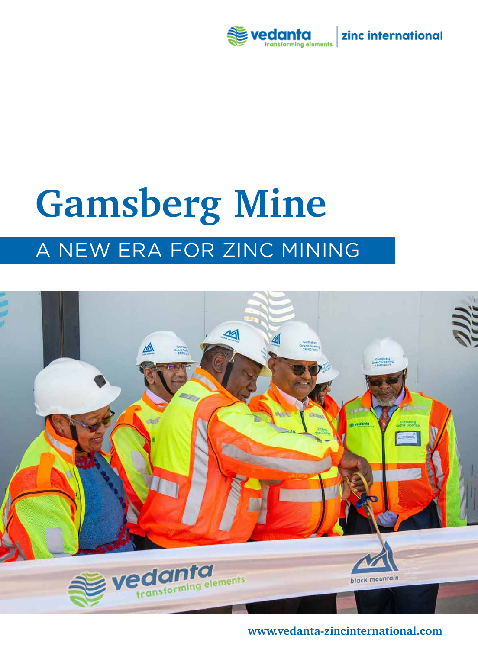

## **Gamsberg Mine** A NEW ERA FOR ZINC MINING



**www.vedanta-zincinternational.com**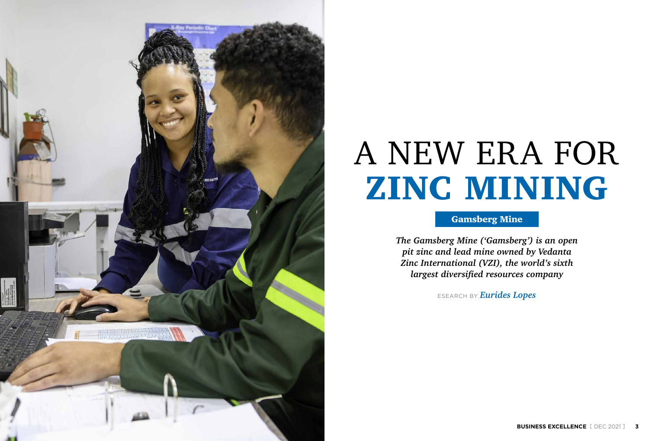*The Gamsberg Mine ('Gamsberg') is an open pit zinc and lead mine owned by Vedanta Zinc International (VZI), the world's sixth largest diversified resources company*



# ZINC MINING A NEW ERA FOR

ESEARCH BY *Eurides Lopes*

Gamsberg Mine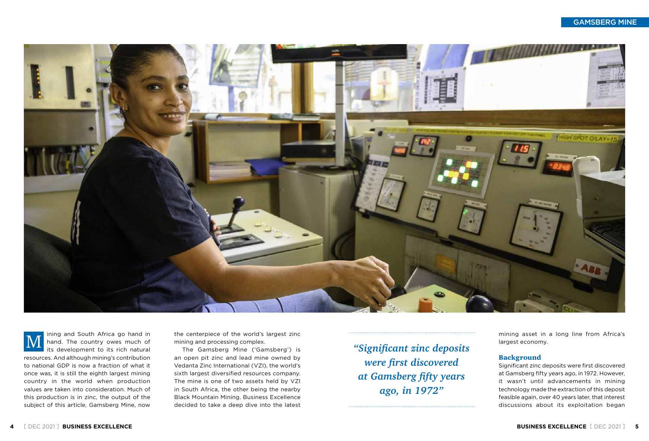

ining and South Africa go hand in hand. The country owes much of its development to its rich natural resources. And although mining's contribution to national GDP is now a fraction of what it once was, it is still the eighth largest mining country in the world when production values are taken into consideration. Much of this production is in zinc, the output of the subject of this article, Gamsberg Mine, now M

the centerpiece of the world's largest zinc mining and processing complex.

The Gamsberg Mine ('Gamsberg') is an open pit zinc and lead mine owned by Vedanta Zinc International (VZI), the world's sixth largest diversified resources company. The mine is one of two assets held by VZI in South Africa, the other being the nearby Black Mountain Mining. Business Excellence decided to take a deep dive into the latest

#### GAMSBERG MINE

*"Significant zinc deposits were first discovered at Gamsberg fifty years ago, in 1972"*

mining asset in a long line from Africa's largest economy.

#### Background

Significant zinc deposits were first discovered at Gamsberg fifty years ago, in 1972. However, it wasn't until advancements in mining technology made the extraction of this deposit feasible again, over 40 years later, that interest discussions about its exploitation began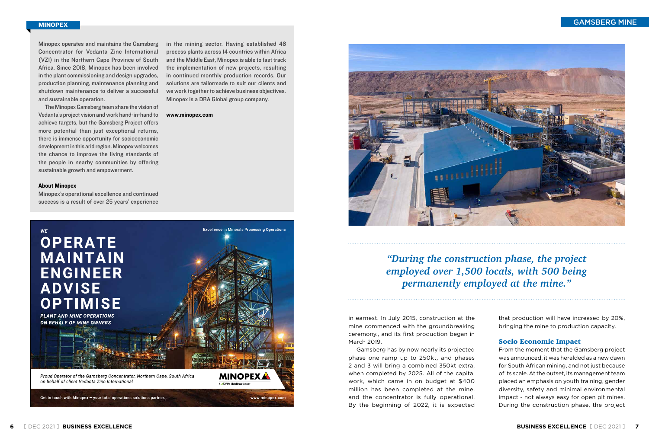#### GAMSBERG MINE

in earnest. In July 2015, construction at the mine commenced with the groundbreaking ceremony., and its first production began in March 2019.

Gamsberg has by now nearly its projected phase one ramp up to 250kt, and phases 2 and 3 will bring a combined 350kt extra, when completed by 2025. All of the capital work, which came in on budget at \$400 million has been completed at the mine, and the concentrator is fully operational. By the beginning of 2022, it is expected

### *"During the construction phase, the project employed over 1,500 locals, with 500 being permanently employed at the mine."*

that production will have increased by 20%, bringing the mine to production capacity.

#### Socio Economic Impact

From the moment that the Gamsberg project was announced, it was heralded as a new dawn for South African mining, and not just because of its scale. At the outset, its management team placed an emphasis on youth training, gender diversity, safety and minimal environmental impact - not always easy for open pit mines. During the construction phase, the project

Minopex operates and maintains the Gamsberg Concentrator for Vedanta Zinc International (VZI) in the Northern Cape Province of South Africa. Since 2018, Minopex has been involved in the plant commissioning and design upgrades, production planning, maintenance planning and shutdown maintenance to deliver a successful and sustainable operation.

The Minopex Gamsberg team share the vision of Vedanta's project vision and work hand-in-hand to achieve targets, but the Gamsberg Project offers more potential than just exceptional returns, there is immense opportunity for socioeconomic development in this arid region. Minopex welcomes the chance to improve the living standards of the people in nearby communities by offering sustainable growth and empowerment.

#### About Minopex

Minopex's operational excellence and continued success is a result of over 25 years' experience



in the mining sector. Having established 46 process plants across 14 countries within Africa and the Middle East, Minopex is able to fast track the implementation of new projects, resulting in continued monthly production records. Our solutions are tailormade to suit our clients and we work together to achieve business objectives. Minopex is a DRA Global group company.

www.minopex.com



#### MINOPEX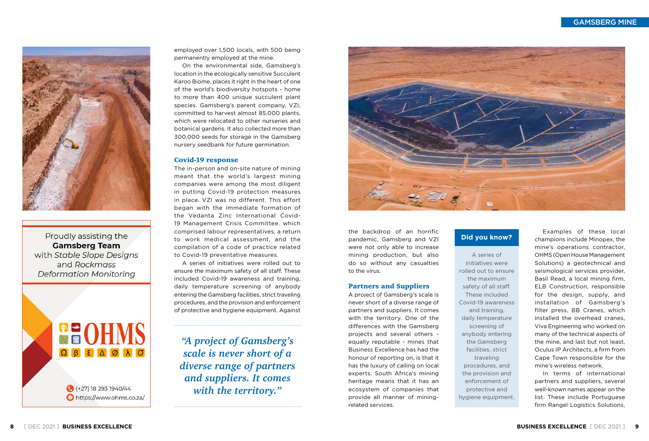

Proudly assisting the **Gamsberg Team** with Stable Slope Designs and Rockmass **Deformation Monitoring** 

**AHOH**  $Q$   $B$   $E$   $A$   $G$   $F$   $G$  $(+27)$  18 293 1940/44 https://www.ohms.co.za/

employed over 1,500 locals, with 500 being permanently employed at the mine.

On the environmental side, Gamsberg's location in the ecologically sensitive Succulent Karoo Biome, places it right in the heart of one of the world's biodiversity hotspots - home to more than 400 unique succulent plant species. Gamsberg's parent company, VZI, committed to harvest almost 85,000 plants, which were relocated to other nurseries and botanical gardens. It also collected more than 300,000 seeds for storage in the Gamsberg nursery seedbank for future germination.

#### Covid-19 response

The in-person and on-site nature of mining meant that the world's largest mining companies were among the most diligent in putting Covid-19 protection measures in place. VZI was no different. This effort began with the immediate formation of the Vedanta Zinc International Covid-19 Management Crisis Committee. which comprised labour representatives, a return to work medical assessment, and the compilation of a code of practice related to Covid-19 preventative measures.

A series of initiatives were rolled out to ensure the maximum safety of all staff. These included Covid-19 awareness and training, daily temperature screening of anybody entering the Gamsberg facilities, strict traveling procedures, and the provision and enforcement of protective and hygiene equipment. Against

#### GAMSBERG MINE

*"A project of Gamsberg's scale is never short of a diverse range of partners and suppliers. It comes with the territory."*



the backdrop of an horrific pandemic, Gamsberg and VZI were not only able to increase mining production, but also do so without any casualties to the virus.

#### Partners and Suppliers

A project of Gamsberg's scale is never short of a diverse range of partners and suppliers. It comes with the territory. One of the differences with the Gamsberg projects and several others equally reputable - mines that Business Excellence has had the honour of reporting on, is that it has the luxury of calling on local experts. South Africa's mining heritage means that it has an ecosystem of companies that provide all manner of miningrelated services.

Examples of these local champions include Minopex, the mine's operations contractor, OHMS (Open House Management Solutions) a geotechnical and seismological services provider, Basil Read, a local mining firm, ELB Construction, responsible for the design, supply, and installation of Gamsberg's filter press, BB Cranes, which installed the overhead cranes, Viva Engineering who worked on many of the technical aspects of the mine, and last but not least, Oculus IP Architects, a firm from Cape Town responsible for the mine's wireless network.

In terms of international partners and suppliers, several well-known names appear on the list. These include Portuguese firm Rangel Logistics Solutions,

A series of initiatives were rolled out to ensure the maximum safety of all staff. These included Covid-19 awareness and training, daily temperature screening of anybody entering the Gamsberg facilities, strict traveling procedures, and the provision and enforcement of protective and hygiene equipment.

#### **Did you know?**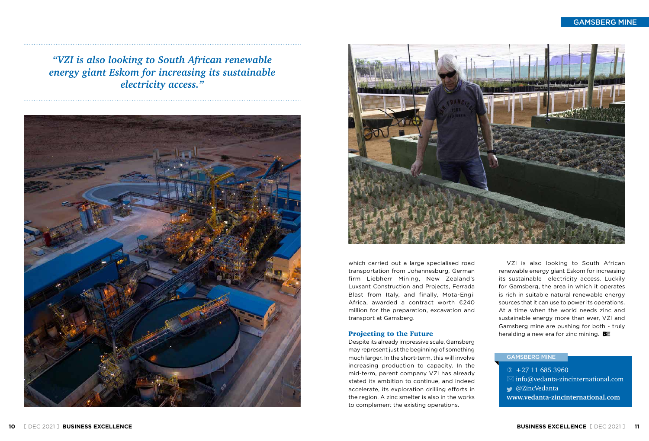#### GAMSBERG MINE

which carried out a large specialised road transportation from Johannesburg, German firm Liebherr Mining, New Zealand's Luxsant Construction and Projects, Ferrada Blast from Italy, and finally, Mota-Engil Africa, awarded a contract worth €240 million for the preparation, excavation and transport at Gamsberg.

#### Projecting to the Future

VZI is also looking to South African renewable energy giant Eskom for increasing its sustainable electricity access. Luckily for Gamsberg, the area in which it operates is rich in suitable natural renewable energy sources that it can use to power its operations. At a time when the world needs zinc and sustainable energy more than ever, VZI and Gamsberg mine are pushing for both - truly heralding a new era for zinc mining.  $BE$ 

Despite its already impressive scale, Gamsberg may represent just the beginning of something much larger. In the short-term, this will involve increasing production to capacity. In the mid-term, parent company VZI has already stated its ambition to continue, and indeed accelerate, its exploration drilling efforts in the region. A zinc smelter is also in the works to complement the existing operations.



 $\textcircled{1}$  +27 11 685 3960  $\boxtimes$  info@vedanta-zincinternational.com @ZincVedanta **www.vedanta-zincinternational.com**

#### GAMSBERG MINE

*"VZI is also looking to South African renewable energy giant Eskom for increasing its sustainable electricity access."*